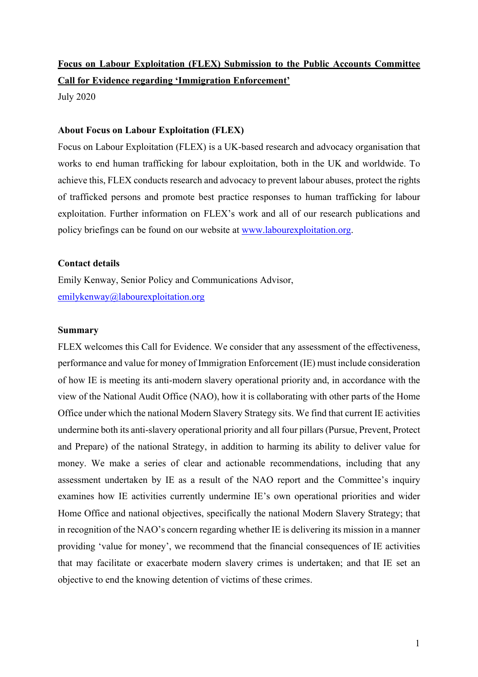# **Focus on Labour Exploitation (FLEX) Submission to the Public Accounts Committee Call for Evidence regarding 'Immigration Enforcement'** July 2020

## **About Focus on Labour Exploitation (FLEX)**

Focus on Labour Exploitation (FLEX) is a UK-based research and advocacy organisation that works to end human trafficking for labour exploitation, both in the UK and worldwide. To achieve this, FLEX conducts research and advocacy to prevent labour abuses, protect the rights of trafficked persons and promote best practice responses to human trafficking for labour exploitation. Further information on FLEX's work and all of our research publications and policy briefings can be found on our website at www.labourexploitation.org.

# **Contact details**

Emily Kenway, Senior Policy and Communications Advisor, emilykenway@labourexploitation.org

# **Summary**

FLEX welcomes this Call for Evidence. We consider that any assessment of the effectiveness, performance and value for money of Immigration Enforcement (IE) must include consideration of how IE is meeting its anti-modern slavery operational priority and, in accordance with the view of the National Audit Office (NAO), how it is collaborating with other parts of the Home Office under which the national Modern Slavery Strategy sits. We find that current IE activities undermine both its anti-slavery operational priority and all four pillars (Pursue, Prevent, Protect and Prepare) of the national Strategy, in addition to harming its ability to deliver value for money. We make a series of clear and actionable recommendations, including that any assessment undertaken by IE as a result of the NAO report and the Committee's inquiry examines how IE activities currently undermine IE's own operational priorities and wider Home Office and national objectives, specifically the national Modern Slavery Strategy; that in recognition of the NAO's concern regarding whether IE is delivering its mission in a manner providing 'value for money', we recommend that the financial consequences of IE activities that may facilitate or exacerbate modern slavery crimes is undertaken; and that IE set an objective to end the knowing detention of victims of these crimes.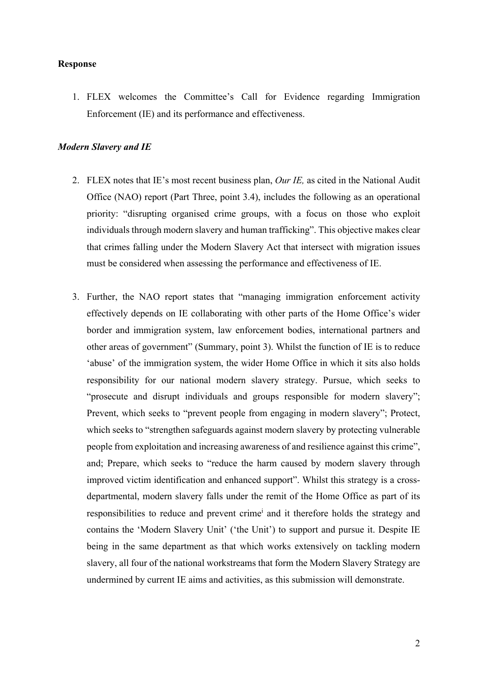## **Response**

1. FLEX welcomes the Committee's Call for Evidence regarding Immigration Enforcement (IE) and its performance and effectiveness.

#### *Modern Slavery and IE*

- 2. FLEX notes that IE's most recent business plan, *Our IE,* as cited in the National Audit Office (NAO) report (Part Three, point 3.4), includes the following as an operational priority: "disrupting organised crime groups, with a focus on those who exploit individuals through modern slavery and human trafficking". This objective makes clear that crimes falling under the Modern Slavery Act that intersect with migration issues must be considered when assessing the performance and effectiveness of IE.
- 3. Further, the NAO report states that "managing immigration enforcement activity effectively depends on IE collaborating with other parts of the Home Office's wider border and immigration system, law enforcement bodies, international partners and other areas of government" (Summary, point 3). Whilst the function of IE is to reduce 'abuse' of the immigration system, the wider Home Office in which it sits also holds responsibility for our national modern slavery strategy. Pursue, which seeks to "prosecute and disrupt individuals and groups responsible for modern slavery"; Prevent, which seeks to "prevent people from engaging in modern slavery"; Protect, which seeks to "strengthen safeguards against modern slavery by protecting vulnerable people from exploitation and increasing awareness of and resilience against this crime", and; Prepare, which seeks to "reduce the harm caused by modern slavery through improved victim identification and enhanced support". Whilst this strategy is a crossdepartmental, modern slavery falls under the remit of the Home Office as part of its responsibilities to reduce and prevent crimei and it therefore holds the strategy and contains the 'Modern Slavery Unit' ('the Unit') to support and pursue it. Despite IE being in the same department as that which works extensively on tackling modern slavery, all four of the national workstreams that form the Modern Slavery Strategy are undermined by current IE aims and activities, as this submission will demonstrate.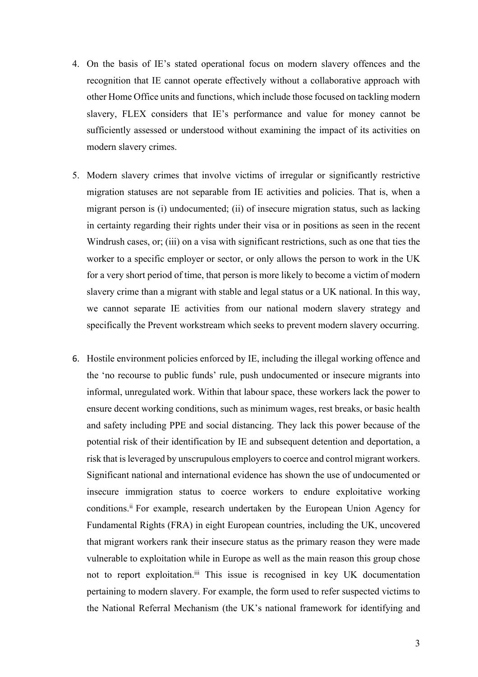- 4. On the basis of IE's stated operational focus on modern slavery offences and the recognition that IE cannot operate effectively without a collaborative approach with other Home Office units and functions, which include those focused on tackling modern slavery, FLEX considers that IE's performance and value for money cannot be sufficiently assessed or understood without examining the impact of its activities on modern slavery crimes.
- 5. Modern slavery crimes that involve victims of irregular or significantly restrictive migration statuses are not separable from IE activities and policies. That is, when a migrant person is (i) undocumented; (ii) of insecure migration status, such as lacking in certainty regarding their rights under their visa or in positions as seen in the recent Windrush cases, or; (iii) on a visa with significant restrictions, such as one that ties the worker to a specific employer or sector, or only allows the person to work in the UK for a very short period of time, that person is more likely to become a victim of modern slavery crime than a migrant with stable and legal status or a UK national. In this way, we cannot separate IE activities from our national modern slavery strategy and specifically the Prevent workstream which seeks to prevent modern slavery occurring.
- 6. Hostile environment policies enforced by IE, including the illegal working offence and the 'no recourse to public funds' rule, push undocumented or insecure migrants into informal, unregulated work. Within that labour space, these workers lack the power to ensure decent working conditions, such as minimum wages, rest breaks, or basic health and safety including PPE and social distancing. They lack this power because of the potential risk of their identification by IE and subsequent detention and deportation, a risk that is leveraged by unscrupulous employers to coerce and control migrant workers. Significant national and international evidence has shown the use of undocumented or insecure immigration status to coerce workers to endure exploitative working conditions.<sup>ii</sup> For example, research undertaken by the European Union Agency for Fundamental Rights (FRA) in eight European countries, including the UK, uncovered that migrant workers rank their insecure status as the primary reason they were made vulnerable to exploitation while in Europe as well as the main reason this group chose not to report exploitation. iii This issue is recognised in key UK documentation pertaining to modern slavery. For example, the form used to refer suspected victims to the National Referral Mechanism (the UK's national framework for identifying and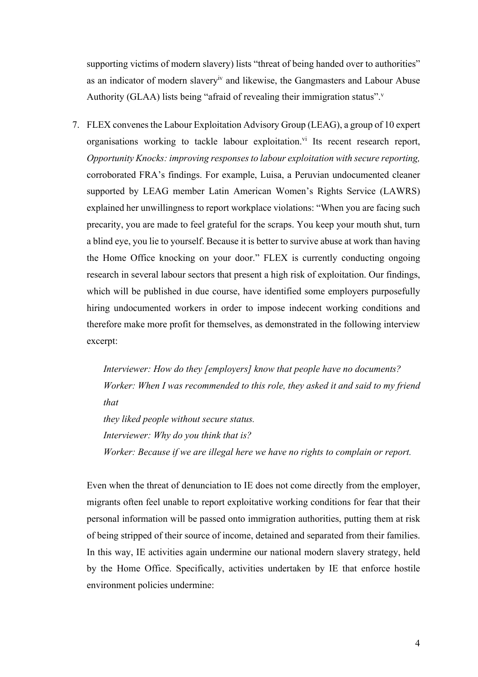supporting victims of modern slavery) lists "threat of being handed over to authorities" as an indicator of modern slaveryiv and likewise, the Gangmasters and Labour Abuse Authority (GLAA) lists being "afraid of revealing their immigration status".<sup>v</sup>

7. FLEX convenes the Labour Exploitation Advisory Group (LEAG), a group of 10 expert organisations working to tackle labour exploitation.<sup>vi</sup> Its recent research report, *Opportunity Knocks: improving responses to labour exploitation with secure reporting,* corroborated FRA's findings. For example, Luisa, a Peruvian undocumented cleaner supported by LEAG member Latin American Women's Rights Service (LAWRS) explained her unwillingness to report workplace violations: "When you are facing such precarity, you are made to feel grateful for the scraps. You keep your mouth shut, turn a blind eye, you lie to yourself. Because it is better to survive abuse at work than having the Home Office knocking on your door." FLEX is currently conducting ongoing research in several labour sectors that present a high risk of exploitation. Our findings, which will be published in due course, have identified some employers purposefully hiring undocumented workers in order to impose indecent working conditions and therefore make more profit for themselves, as demonstrated in the following interview excerpt:

*Interviewer: How do they [employers] know that people have no documents? Worker: When I was recommended to this role, they asked it and said to my friend that they liked people without secure status. Interviewer: Why do you think that is? Worker: Because if we are illegal here we have no rights to complain or report.*

Even when the threat of denunciation to IE does not come directly from the employer, migrants often feel unable to report exploitative working conditions for fear that their personal information will be passed onto immigration authorities, putting them at risk of being stripped of their source of income, detained and separated from their families. In this way, IE activities again undermine our national modern slavery strategy, held by the Home Office. Specifically, activities undertaken by IE that enforce hostile environment policies undermine: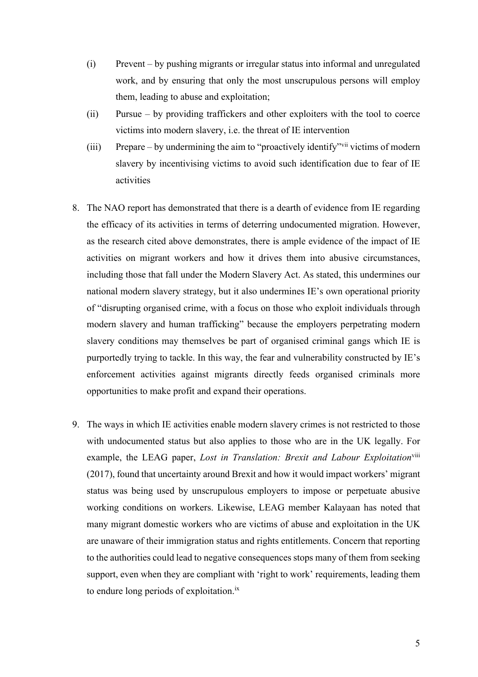- (i) Prevent by pushing migrants or irregular status into informal and unregulated work, and by ensuring that only the most unscrupulous persons will employ them, leading to abuse and exploitation;
- (ii) Pursue by providing traffickers and other exploiters with the tool to coerce victims into modern slavery, i.e. the threat of IE intervention
- (iii) Prepare by undermining the aim to "proactively identify"vii victims of modern slavery by incentivising victims to avoid such identification due to fear of IE activities
- 8. The NAO report has demonstrated that there is a dearth of evidence from IE regarding the efficacy of its activities in terms of deterring undocumented migration. However, as the research cited above demonstrates, there is ample evidence of the impact of IE activities on migrant workers and how it drives them into abusive circumstances, including those that fall under the Modern Slavery Act. As stated, this undermines our national modern slavery strategy, but it also undermines IE's own operational priority of "disrupting organised crime, with a focus on those who exploit individuals through modern slavery and human trafficking" because the employers perpetrating modern slavery conditions may themselves be part of organised criminal gangs which IE is purportedly trying to tackle. In this way, the fear and vulnerability constructed by IE's enforcement activities against migrants directly feeds organised criminals more opportunities to make profit and expand their operations.
- 9. The ways in which IE activities enable modern slavery crimes is not restricted to those with undocumented status but also applies to those who are in the UK legally. For example, the LEAG paper, *Lost in Translation: Brexit and Labour Exploitation*<sup>viii</sup> (2017), found that uncertainty around Brexit and how it would impact workers' migrant status was being used by unscrupulous employers to impose or perpetuate abusive working conditions on workers. Likewise, LEAG member Kalayaan has noted that many migrant domestic workers who are victims of abuse and exploitation in the UK are unaware of their immigration status and rights entitlements. Concern that reporting to the authorities could lead to negative consequences stops many of them from seeking support, even when they are compliant with 'right to work' requirements, leading them to endure long periods of exploitation.<sup>ix</sup>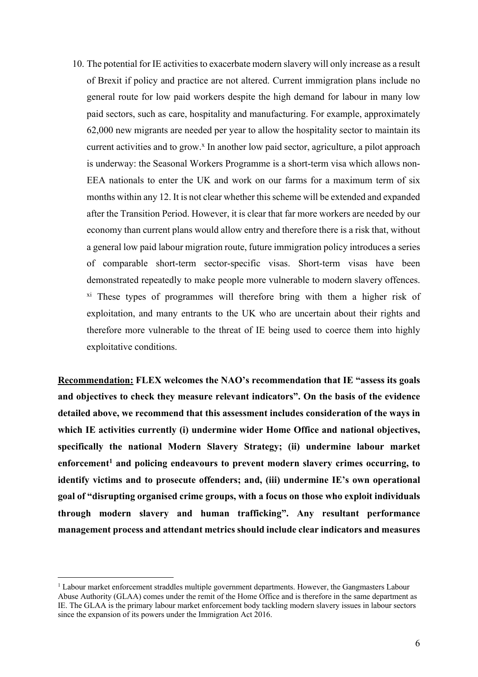10. The potential for IE activities to exacerbate modern slavery will only increase as a result of Brexit if policy and practice are not altered. Current immigration plans include no general route for low paid workers despite the high demand for labour in many low paid sectors, such as care, hospitality and manufacturing. For example, approximately 62,000 new migrants are needed per year to allow the hospitality sector to maintain its current activities and to grow. <sup>x</sup> In another low paid sector, agriculture, a pilot approach is underway: the Seasonal Workers Programme is a short-term visa which allows non-EEA nationals to enter the UK and work on our farms for a maximum term of six months within any 12. It is not clear whether this scheme will be extended and expanded after the Transition Period. However, it is clear that far more workers are needed by our economy than current plans would allow entry and therefore there is a risk that, without a general low paid labour migration route, future immigration policy introduces a series of comparable short-term sector-specific visas. Short-term visas have been demonstrated repeatedly to make people more vulnerable to modern slavery offences. xi These types of programmes will therefore bring with them a higher risk of exploitation, and many entrants to the UK who are uncertain about their rights and therefore more vulnerable to the threat of IE being used to coerce them into highly exploitative conditions.

**Recommendation: FLEX welcomes the NAO's recommendation that IE "assess its goals and objectives to check they measure relevant indicators". On the basis of the evidence detailed above, we recommend that this assessment includes consideration of the ways in which IE activities currently (i) undermine wider Home Office and national objectives, specifically the national Modern Slavery Strategy; (ii) undermine labour market**  enforcement<sup>1</sup> and policing endeavours to prevent modern slavery crimes occurring, to **identify victims and to prosecute offenders; and, (iii) undermine IE's own operational goal of "disrupting organised crime groups, with a focus on those who exploit individuals through modern slavery and human trafficking". Any resultant performance management process and attendant metrics should include clear indicators and measures** 

<sup>1</sup> Labour market enforcement straddles multiple government departments. However, the Gangmasters Labour Abuse Authority (GLAA) comes under the remit of the Home Office and is therefore in the same department as IE. The GLAA is the primary labour market enforcement body tackling modern slavery issues in labour sectors since the expansion of its powers under the Immigration Act 2016.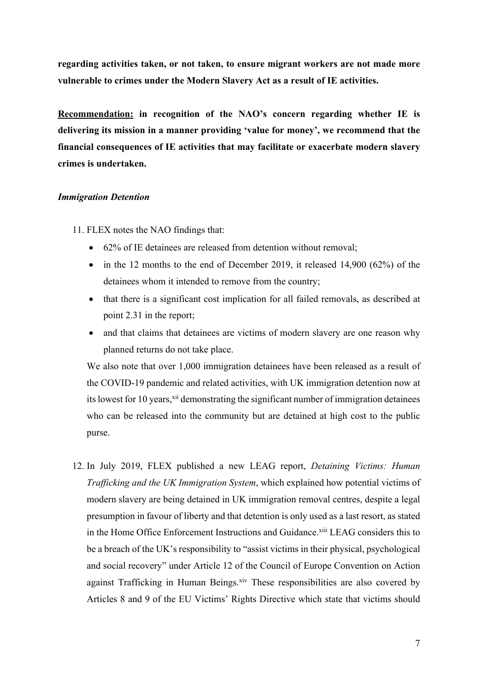**regarding activities taken, or not taken, to ensure migrant workers are not made more vulnerable to crimes under the Modern Slavery Act as a result of IE activities.**

**Recommendation: in recognition of the NAO's concern regarding whether IE is delivering its mission in a manner providing 'value for money', we recommend that the financial consequences of IE activities that may facilitate or exacerbate modern slavery crimes is undertaken.**

#### *Immigration Detention*

- 11. FLEX notes the NAO findings that:
	- 62% of IE detainees are released from detention without removal;
	- in the 12 months to the end of December 2019, it released 14,900 (62%) of the detainees whom it intended to remove from the country;
	- that there is a significant cost implication for all failed removals, as described at point 2.31 in the report;
	- and that claims that detainees are victims of modern slavery are one reason why planned returns do not take place.

We also note that over 1,000 immigration detainees have been released as a result of the COVID-19 pandemic and related activities, with UK immigration detention now at its lowest for 10 years,<sup>xii</sup> demonstrating the significant number of immigration detainees who can be released into the community but are detained at high cost to the public purse.

12. In July 2019, FLEX published a new LEAG report, *Detaining Victims: Human Trafficking and the UK Immigration System*, which explained how potential victims of modern slavery are being detained in UK immigration removal centres, despite a legal presumption in favour of liberty and that detention is only used as a last resort, as stated in the Home Office Enforcement Instructions and Guidance.<sup>xiii</sup> LEAG considers this to be a breach of the UK's responsibility to "assist victims in their physical, psychological and social recovery" under Article 12 of the Council of Europe Convention on Action against Trafficking in Human Beings.<sup>xiv</sup> These responsibilities are also covered by Articles 8 and 9 of the EU Victims' Rights Directive which state that victims should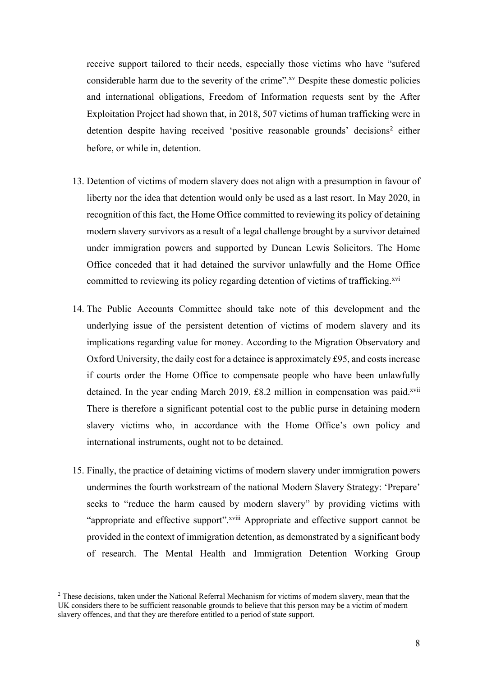receive support tailored to their needs, especially those victims who have "sufered considerable harm due to the severity of the crime".<sup>xv</sup> Despite these domestic policies and international obligations, Freedom of Information requests sent by the After Exploitation Project had shown that, in 2018, 507 victims of human trafficking were in detention despite having received 'positive reasonable grounds' decisions<sup>2</sup> either before, or while in, detention.

- 13. Detention of victims of modern slavery does not align with a presumption in favour of liberty nor the idea that detention would only be used as a last resort. In May 2020, in recognition of this fact, the Home Office committed to reviewing its policy of detaining modern slavery survivors as a result of a legal challenge brought by a survivor detained under immigration powers and supported by Duncan Lewis Solicitors. The Home Office conceded that it had detained the survivor unlawfully and the Home Office committed to reviewing its policy regarding detention of victims of trafficking.<sup>xvi</sup>
- 14. The Public Accounts Committee should take note of this development and the underlying issue of the persistent detention of victims of modern slavery and its implications regarding value for money. According to the Migration Observatory and Oxford University, the daily cost for a detainee is approximately £95, and costs increase if courts order the Home Office to compensate people who have been unlawfully detained. In the year ending March 2019,  $\pounds8.2$  million in compensation was paid.<sup>xvii</sup> There is therefore a significant potential cost to the public purse in detaining modern slavery victims who, in accordance with the Home Office's own policy and international instruments, ought not to be detained.
- 15. Finally, the practice of detaining victims of modern slavery under immigration powers undermines the fourth workstream of the national Modern Slavery Strategy: 'Prepare' seeks to "reduce the harm caused by modern slavery" by providing victims with "appropriate and effective support".xviii Appropriate and effective support cannot be provided in the context of immigration detention, as demonstrated by a significant body of research. The Mental Health and Immigration Detention Working Group

<sup>&</sup>lt;sup>2</sup> These decisions, taken under the National Referral Mechanism for victims of modern slavery, mean that the UK considers there to be sufficient reasonable grounds to believe that this person may be a victim of modern slavery offences, and that they are therefore entitled to a period of state support.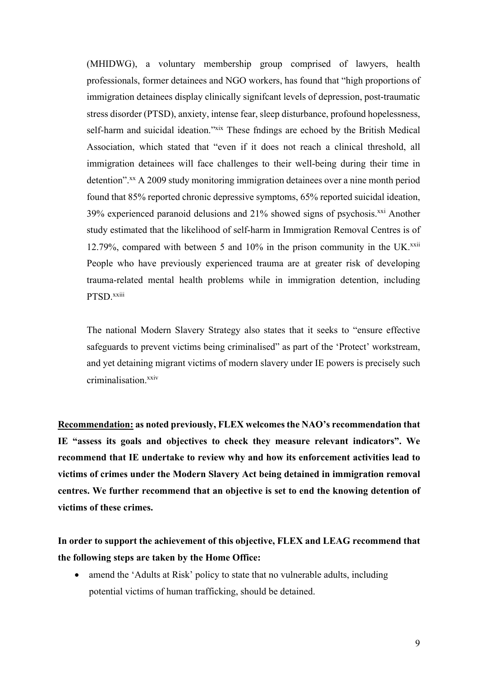(MHIDWG), a voluntary membership group comprised of lawyers, health professionals, former detainees and NGO workers, has found that "high proportions of immigration detainees display clinically signifcant levels of depression, post-traumatic stress disorder (PTSD), anxiety, intense fear, sleep disturbance, profound hopelessness, self-harm and suicidal ideation."<sup>xix</sup> These fidings are echoed by the British Medical Association, which stated that "even if it does not reach a clinical threshold, all immigration detainees will face challenges to their well-being during their time in detention".<sup>xx</sup> A 2009 study monitoring immigration detainees over a nine month period found that 85% reported chronic depressive symptoms, 65% reported suicidal ideation,  $39\%$  experienced paranoid delusions and  $21\%$  showed signs of psychosis.<sup>xxi</sup> Another study estimated that the likelihood of self-harm in Immigration Removal Centres is of 12.79%, compared with between 5 and  $10\%$  in the prison community in the UK. $^{xxii}$ People who have previously experienced trauma are at greater risk of developing trauma-related mental health problems while in immigration detention, including PTSD xxiii

The national Modern Slavery Strategy also states that it seeks to "ensure effective safeguards to prevent victims being criminalised" as part of the 'Protect' workstream, and yet detaining migrant victims of modern slavery under IE powers is precisely such criminalisation.xxiv

**Recommendation: as noted previously, FLEX welcomes the NAO's recommendation that IE "assess its goals and objectives to check they measure relevant indicators". We recommend that IE undertake to review why and how its enforcement activities lead to victims of crimes under the Modern Slavery Act being detained in immigration removal centres. We further recommend that an objective is set to end the knowing detention of victims of these crimes.** 

**In order to support the achievement of this objective, FLEX and LEAG recommend that the following steps are taken by the Home Office:**

• amend the 'Adults at Risk' policy to state that no vulnerable adults, including potential victims of human trafficking, should be detained.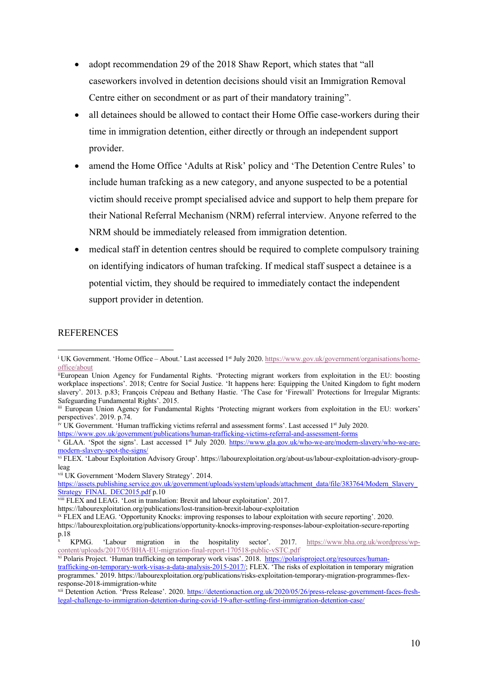- adopt recommendation 29 of the 2018 Shaw Report, which states that "all caseworkers involved in detention decisions should visit an Immigration Removal Centre either on secondment or as part of their mandatory training".
- all detainees should be allowed to contact their Home Offie case-workers during their time in immigration detention, either directly or through an independent support provider.
- amend the Home Office 'Adults at Risk' policy and 'The Detention Centre Rules' to include human trafcking as a new category, and anyone suspected to be a potential victim should receive prompt specialised advice and support to help them prepare for their National Referral Mechanism (NRM) referral interview. Anyone referred to the NRM should be immediately released from immigration detention.
- medical staff in detention centres should be required to complete compulsory training on identifying indicators of human trafcking. If medical staff suspect a detainee is a potential victim, they should be required to immediately contact the independent support provider in detention.

# **REFERENCES**

https://www.gov.uk/government/publications/human-trafficking-victims-referral-and-assessment-forms

<sup>&</sup>lt;sup>i</sup> UK Government. 'Home Office – About.' Last accessed 1<sup>st</sup> July 2020. https://www.gov.uk/government/organisations/homeoffice/about

iiEuropean Union Agency for Fundamental Rights. 'Protecting migrant workers from exploitation in the EU: boosting workplace inspections'. 2018; Centre for Social Justice. 'It happens here: Equipping the United Kingdom to fight modern slavery'. 2013. p.83; François Crépeau and Bethany Hastie. 'The Case for 'Firewall' Protections for Irregular Migrants: Safeguarding Fundamental Rights'. 2015.

iii European Union Agency for Fundamental Rights 'Protecting migrant workers from exploitation in the EU: workers' perspectives'. 2019. p.74.

<sup>&</sup>lt;sup>iv</sup> UK Government. 'Human trafficking victims referral and assessment forms'. Last accessed 1<sup>st</sup> July 2020.

v GLAA. 'Spot the signs'. Last accessed 1<sup>st</sup> July 2020. https://www.gla.gov.uk/who-we-are/modern-slavery/who-we-aremodern-slavery-spot-the-signs/

vi FLEX. 'Labour Exploitation Advisory Group'. https://labourexploitation.org/about-us/labour-exploitation-advisory-groupleag

vii UK Government 'Modern Slavery Strategy'. 2014.

https://assets.publishing.service.gov.uk/government/uploads/system/uploads/attachment\_data/file/383764/Modern\_Slavery\_ Strategy\_FINAL\_DEC2015.pdf p.10

 $\frac{\text{Sawley}}{\text{Viii}}$  FLEX and LEAG. 'Lost in translation: Brexit and labour exploitation'. 2017.

https://labourexploitation.org/publications/lost-transition-brexit-labour-exploitation

ix FLEX and LEAG. 'Opportunity Knocks: improving responses to labour exploitation with secure reporting'. 2020. https://labourexploitation.org/publications/opportunity-knocks-improving-responses-labour-exploitation-secure-reporting p.18

<sup>x</sup> KPMG. 'Labour migration in the hospitality sector'. 2017. https://www.bha.org.uk/wordpress/wpcontent/uploads/2017/05/BHA-EU-migration-final-report-170518-public-vSTC.pdf

xi Polaris Project. 'Human trafficking on temporary work visas'. 2018. https://polarisproject.org/resources/humantrafficking-on-temporary-work-visas-a-data-analysis-2015-2017/; FLEX. 'The risks of exploitation in temporary migration programmes.' 2019. https://labourexploitation.org/publications/risks-exploitation-temporary-migration-programmes-flexresponse-2018-immigration-white

xii Detention Action. 'Press Release'. 2020. https://detentionaction.org.uk/2020/05/26/press-release-government-faces-freshlegal-challenge-to-immigration-detention-during-covid-19-after-settling-first-immigration-detention-case/